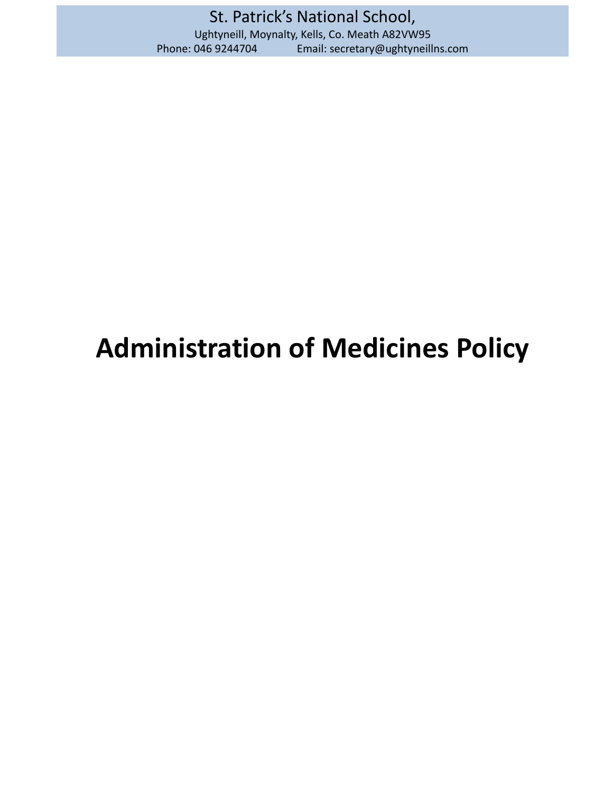# **Administration of Medicines Policy**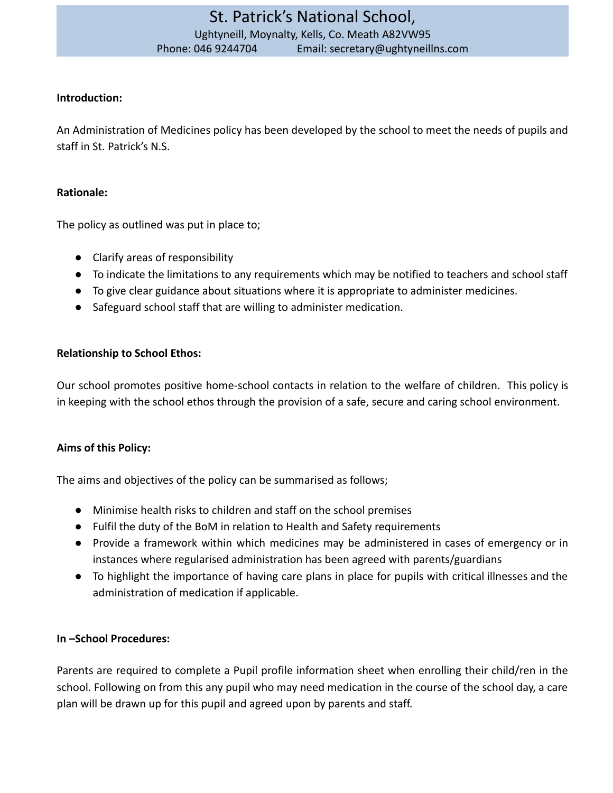#### **Introduction:**

An Administration of Medicines policy has been developed by the school to meet the needs of pupils and staff in St. Patrick's N.S.

#### **Rationale:**

The policy as outlined was put in place to;

- Clarify areas of responsibility
- To indicate the limitations to any requirements which may be notified to teachers and school staff
- To give clear guidance about situations where it is appropriate to administer medicines.
- Safeguard school staff that are willing to administer medication.

#### **Relationship to School Ethos:**

Our school promotes positive home-school contacts in relation to the welfare of children. This policy is in keeping with the school ethos through the provision of a safe, secure and caring school environment.

#### **Aims of this Policy:**

The aims and objectives of the policy can be summarised as follows;

- Minimise health risks to children and staff on the school premises
- Fulfil the duty of the BoM in relation to Health and Safety requirements
- Provide a framework within which medicines may be administered in cases of emergency or in instances where regularised administration has been agreed with parents/guardians
- To highlight the importance of having care plans in place for pupils with critical illnesses and the administration of medication if applicable.

#### **In –School Procedures:**

Parents are required to complete a Pupil profile information sheet when enrolling their child/ren in the school. Following on from this any pupil who may need medication in the course of the school day, a care plan will be drawn up for this pupil and agreed upon by parents and staff.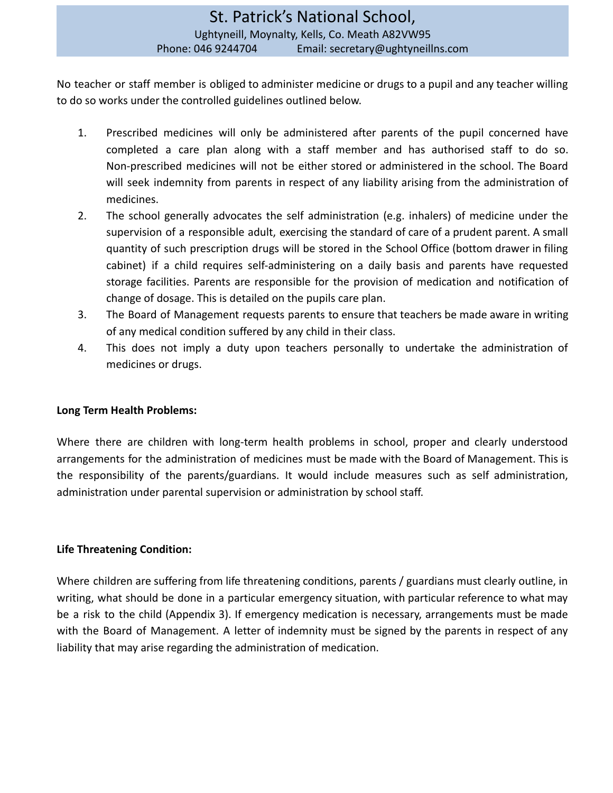No teacher or staff member is obliged to administer medicine or drugs to a pupil and any teacher willing to do so works under the controlled guidelines outlined below.

- 1. Prescribed medicines will only be administered after parents of the pupil concerned have completed a care plan along with a staff member and has authorised staff to do so. Non-prescribed medicines will not be either stored or administered in the school. The Board will seek indemnity from parents in respect of any liability arising from the administration of medicines.
- 2. The school generally advocates the self administration (e.g. inhalers) of medicine under the supervision of a responsible adult, exercising the standard of care of a prudent parent. A small quantity of such prescription drugs will be stored in the School Office (bottom drawer in filing cabinet) if a child requires self-administering on a daily basis and parents have requested storage facilities. Parents are responsible for the provision of medication and notification of change of dosage. This is detailed on the pupils care plan.
- 3. The Board of Management requests parents to ensure that teachers be made aware in writing of any medical condition suffered by any child in their class.
- 4. This does not imply a duty upon teachers personally to undertake the administration of medicines or drugs.

#### **Long Term Health Problems:**

Where there are children with long-term health problems in school, proper and clearly understood arrangements for the administration of medicines must be made with the Board of Management. This is the responsibility of the parents/guardians. It would include measures such as self administration, administration under parental supervision or administration by school staff.

#### **Life Threatening Condition:**

Where children are suffering from life threatening conditions, parents / guardians must clearly outline, in writing, what should be done in a particular emergency situation, with particular reference to what may be a risk to the child (Appendix 3). If emergency medication is necessary, arrangements must be made with the Board of Management. A letter of indemnity must be signed by the parents in respect of any liability that may arise regarding the administration of medication.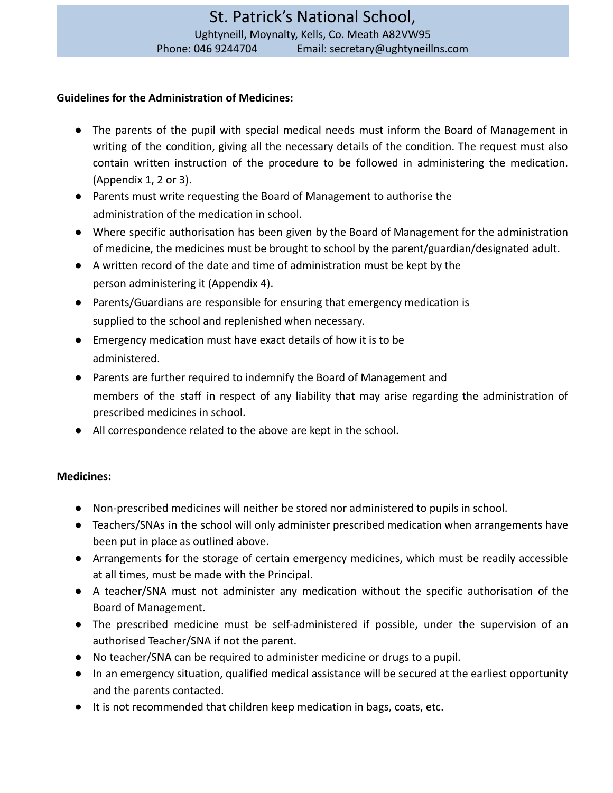#### **Guidelines for the Administration of Medicines:**

- The parents of the pupil with special medical needs must inform the Board of Management in writing of the condition, giving all the necessary details of the condition. The request must also contain written instruction of the procedure to be followed in administering the medication. (Appendix 1, 2 or 3).
- Parents must write requesting the Board of Management to authorise the administration of the medication in school.
- Where specific authorisation has been given by the Board of Management for the administration of medicine, the medicines must be brought to school by the parent/guardian/designated adult.
- A written record of the date and time of administration must be kept by the person administering it (Appendix 4).
- Parents/Guardians are responsible for ensuring that emergency medication is supplied to the school and replenished when necessary.
- Emergency medication must have exact details of how it is to be administered.
- Parents are further required to indemnify the Board of Management and members of the staff in respect of any liability that may arise regarding the administration of prescribed medicines in school.
- All correspondence related to the above are kept in the school.

#### **Medicines:**

- Non-prescribed medicines will neither be stored nor administered to pupils in school.
- Teachers/SNAs in the school will only administer prescribed medication when arrangements have been put in place as outlined above.
- Arrangements for the storage of certain emergency medicines, which must be readily accessible at all times, must be made with the Principal.
- A teacher/SNA must not administer any medication without the specific authorisation of the Board of Management.
- The prescribed medicine must be self-administered if possible, under the supervision of an authorised Teacher/SNA if not the parent.
- No teacher/SNA can be required to administer medicine or drugs to a pupil.
- In an emergency situation, qualified medical assistance will be secured at the earliest opportunity and the parents contacted.
- It is not recommended that children keep medication in bags, coats, etc.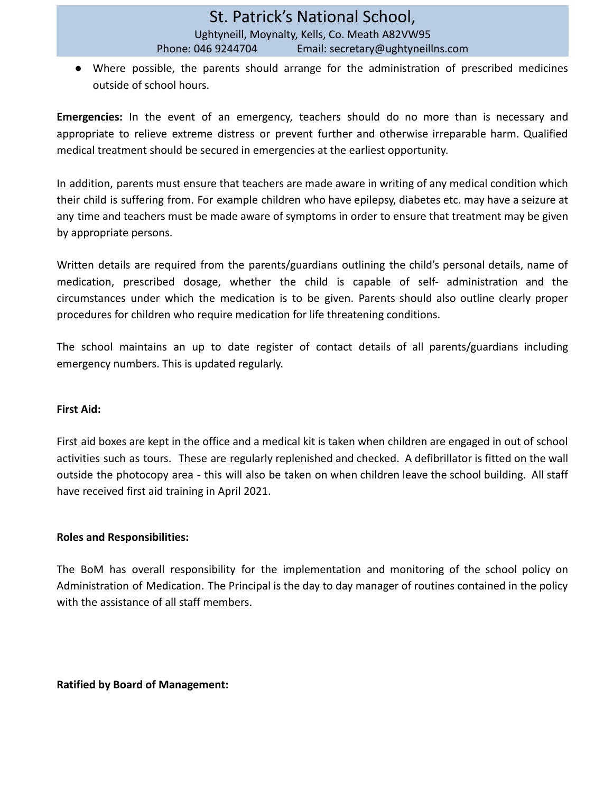● Where possible, the parents should arrange for the administration of prescribed medicines outside of school hours.

**Emergencies:** In the event of an emergency, teachers should do no more than is necessary and appropriate to relieve extreme distress or prevent further and otherwise irreparable harm. Qualified medical treatment should be secured in emergencies at the earliest opportunity.

In addition, parents must ensure that teachers are made aware in writing of any medical condition which their child is suffering from. For example children who have epilepsy, diabetes etc. may have a seizure at any time and teachers must be made aware of symptoms in order to ensure that treatment may be given by appropriate persons.

Written details are required from the parents/guardians outlining the child's personal details, name of medication, prescribed dosage, whether the child is capable of self- administration and the circumstances under which the medication is to be given. Parents should also outline clearly proper procedures for children who require medication for life threatening conditions.

The school maintains an up to date register of contact details of all parents/guardians including emergency numbers. This is updated regularly.

#### **First Aid:**

First aid boxes are kept in the office and a medical kit is taken when children are engaged in out of school activities such as tours. These are regularly replenished and checked. A defibrillator is fitted on the wall outside the photocopy area - this will also be taken on when children leave the school building. All staff have received first aid training in April 2021.

#### **Roles and Responsibilities:**

The BoM has overall responsibility for the implementation and monitoring of the school policy on Administration of Medication. The Principal is the day to day manager of routines contained in the policy with the assistance of all staff members.

#### **Ratified by Board of Management:**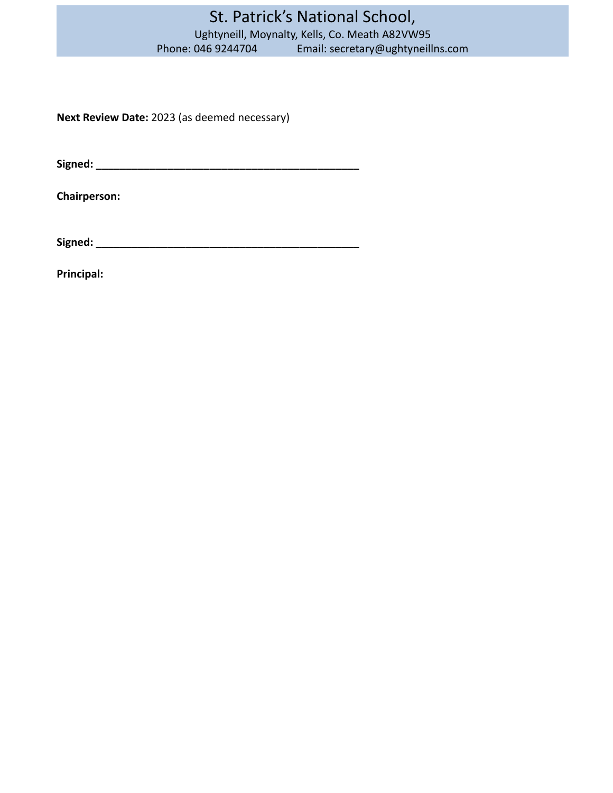# St. Patrick's National School, Ughtyneill, Moynalty, Kells, Co. Meath A82VW95<br>Phone: 046 9244704 Email: secretary@ughtyneill Email: secretary@ughtyneillns.com

**Next Review Date:** 2023 (as deemed necessary)

**Signed: \_\_\_\_\_\_\_\_\_\_\_\_\_\_\_\_\_\_\_\_\_\_\_\_\_\_\_\_\_\_\_\_\_\_\_\_\_\_\_\_\_\_\_\_**

**Chairperson:**

**Signed: \_\_\_\_\_\_\_\_\_\_\_\_\_\_\_\_\_\_\_\_\_\_\_\_\_\_\_\_\_\_\_\_\_\_\_\_\_\_\_\_\_\_\_\_**

**Principal:**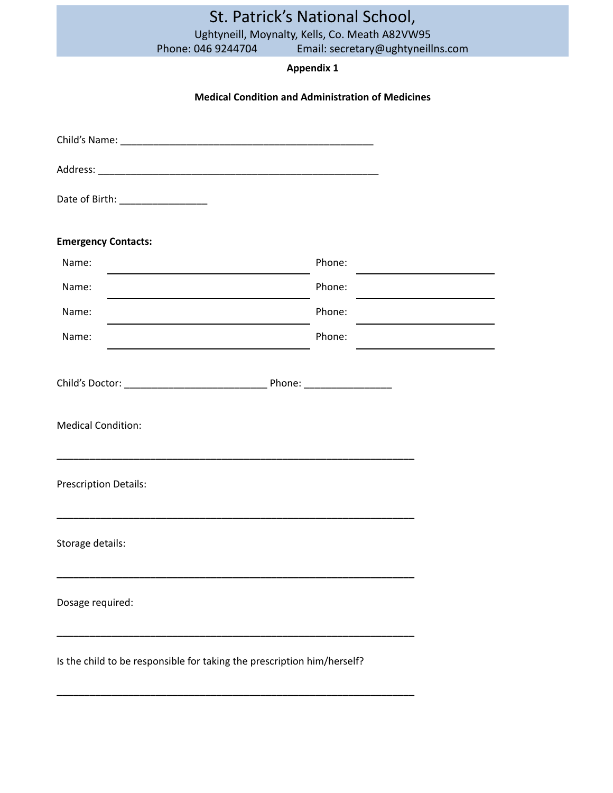|                                 | Phone: 046 9244704                                                      | St. Patrick's National School,<br>Ughtyneill, Moynalty, Kells, Co. Meath A82VW95<br>Email: secretary@ughtyneillns.com |  |  |  |  |  |
|---------------------------------|-------------------------------------------------------------------------|-----------------------------------------------------------------------------------------------------------------------|--|--|--|--|--|
|                                 | <b>Appendix 1</b>                                                       |                                                                                                                       |  |  |  |  |  |
|                                 | <b>Medical Condition and Administration of Medicines</b>                |                                                                                                                       |  |  |  |  |  |
|                                 |                                                                         |                                                                                                                       |  |  |  |  |  |
|                                 |                                                                         |                                                                                                                       |  |  |  |  |  |
|                                 |                                                                         |                                                                                                                       |  |  |  |  |  |
| Date of Birth: ________________ |                                                                         |                                                                                                                       |  |  |  |  |  |
| <b>Emergency Contacts:</b>      |                                                                         |                                                                                                                       |  |  |  |  |  |
| Name:                           | <u> 1989 - Andrea Andrew Maria (h. 1989).</u>                           | Phone:                                                                                                                |  |  |  |  |  |
| Name:                           |                                                                         | Phone:                                                                                                                |  |  |  |  |  |
| Name:                           |                                                                         | Phone:                                                                                                                |  |  |  |  |  |
| Name:                           |                                                                         | Phone:                                                                                                                |  |  |  |  |  |
|                                 |                                                                         |                                                                                                                       |  |  |  |  |  |
| <b>Medical Condition:</b>       |                                                                         |                                                                                                                       |  |  |  |  |  |
| <b>Prescription Details:</b>    |                                                                         |                                                                                                                       |  |  |  |  |  |
| Storage details:                |                                                                         |                                                                                                                       |  |  |  |  |  |
| Dosage required:                |                                                                         |                                                                                                                       |  |  |  |  |  |
|                                 | Is the child to be responsible for taking the prescription him/herself? |                                                                                                                       |  |  |  |  |  |

**\_\_\_\_\_\_\_\_\_\_\_\_\_\_\_\_\_\_\_\_\_\_\_\_\_\_\_\_\_\_\_\_\_\_\_\_\_\_\_\_\_\_\_\_\_\_\_\_\_\_\_\_\_\_\_\_\_\_\_\_\_\_\_\_\_**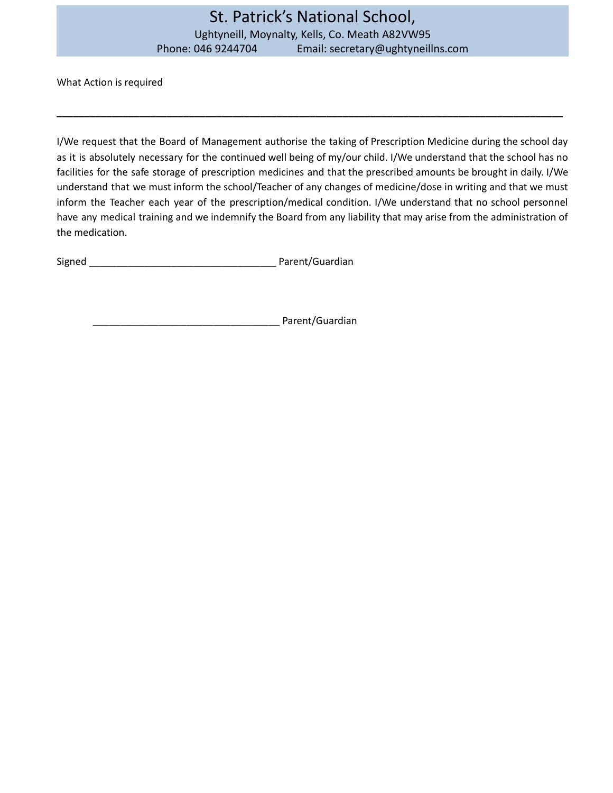What Action is required

I/We request that the Board of Management authorise the taking of Prescription Medicine during the school day as it is absolutely necessary for the continued well being of my/our child. I/We understand that the school has no facilities for the safe storage of prescription medicines and that the prescribed amounts be brought in daily. I/We understand that we must inform the school/Teacher of any changes of medicine/dose in writing and that we must inform the Teacher each year of the prescription/medical condition. I/We understand that no school personnel have any medical training and we indemnify the Board from any liability that may arise from the administration of the medication.

**\_\_\_\_\_\_\_\_\_\_\_\_\_\_\_\_\_\_\_\_\_\_\_\_\_\_\_\_\_\_\_\_\_\_\_\_\_\_\_\_\_\_\_\_\_\_\_\_\_\_\_\_\_\_\_\_\_\_\_\_\_\_\_\_\_\_\_\_\_\_\_\_\_\_\_\_\_\_\_\_\_\_\_\_\_\_\_\_\_\_\_\_**

Signed **Signed Signed Example 2 Parent/Guardian** 

Parent/Guardian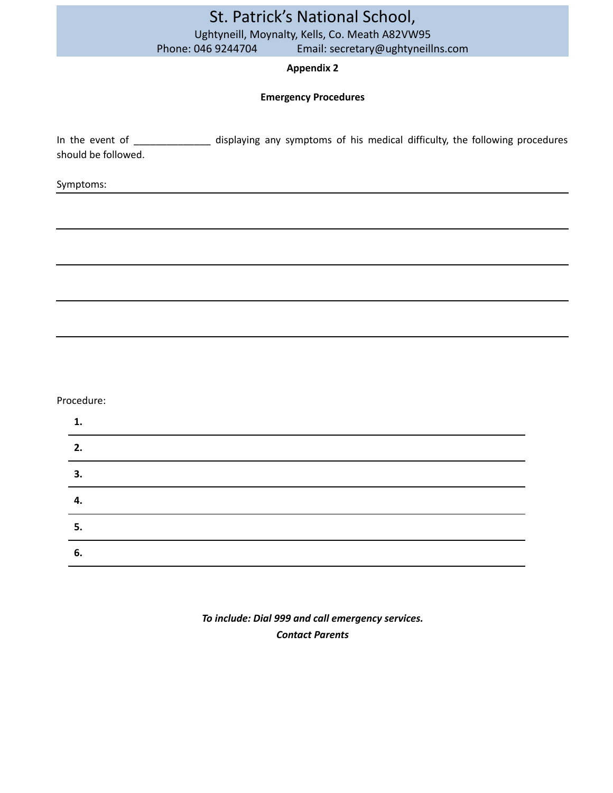|                     |                    | St. Patrick's National School,                                                                            |
|---------------------|--------------------|-----------------------------------------------------------------------------------------------------------|
|                     |                    | Ughtyneill, Moynalty, Kells, Co. Meath A82VW95                                                            |
|                     | Phone: 046 9244704 | Email: secretary@ughtyneillns.com                                                                         |
|                     |                    | <b>Appendix 2</b>                                                                                         |
|                     |                    | <b>Emergency Procedures</b>                                                                               |
| should be followed. |                    | In the event of _____________ displaying any symptoms of his medical difficulty, the following procedures |
| Symptoms:           |                    |                                                                                                           |
|                     |                    |                                                                                                           |
|                     |                    |                                                                                                           |
|                     |                    |                                                                                                           |
|                     |                    |                                                                                                           |
|                     |                    |                                                                                                           |
|                     |                    |                                                                                                           |
|                     |                    |                                                                                                           |
|                     |                    |                                                                                                           |
| Procedure:          |                    |                                                                                                           |

| 1  |  |  |  |
|----|--|--|--|
| 2. |  |  |  |
| 3. |  |  |  |
| 4. |  |  |  |
| 5. |  |  |  |
| 6. |  |  |  |

# *To include: Dial 999 and call emergency services. Contact Parents*